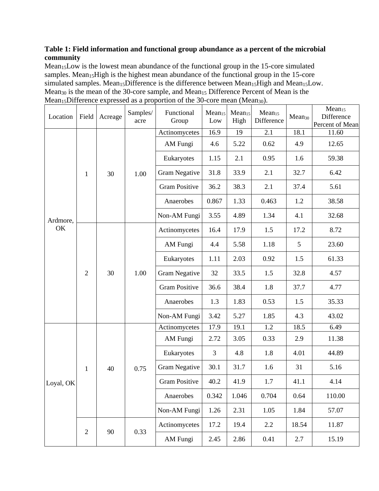## **Table 1: Field information and functional group abundance as a percent of the microbial community**

Mean<sub>15</sub>Low is the lowest mean abundance of the functional group in the 15-core simulated samples. Mean<sub>15</sub>High is the highest mean abundance of the functional group in the 15-core simulated samples. Mean<sub>15</sub>Difference is the difference between Mean<sub>15</sub>High and Mean<sub>15</sub>Low. Mean<sub>30</sub> is the mean of the 30-core sample, and Mean<sub>15</sub> Difference Percent of Mean is the Mean<sub>15</sub>Difference expressed as a proportion of the 30-core mean (Mean<sub>30</sub>).

| Location       | Field          | Acreage | Samples/<br>acre | Functional<br>Group  | Mean <sub>15</sub><br>Low | Mean <sub>15</sub><br>High | Mean <sub>15</sub><br>Difference | Mean <sub>30</sub> | $Mean_{15}$<br>Difference<br>Percent of Mean |
|----------------|----------------|---------|------------------|----------------------|---------------------------|----------------------------|----------------------------------|--------------------|----------------------------------------------|
| Ardmore,<br>OK | $\mathbf{1}$   | 30      | 1.00             | Actinomycetes        | 16.9                      | 19                         | 2.1                              | 18.1               | 11.60                                        |
|                |                |         |                  | AM Fungi             | 4.6                       | 5.22                       | 0.62                             | 4.9                | 12.65                                        |
|                |                |         |                  | Eukaryotes           | 1.15                      | 2.1                        | 0.95                             | 1.6                | 59.38                                        |
|                |                |         |                  | <b>Gram Negative</b> | 31.8                      | 33.9                       | 2.1                              | 32.7               | 6.42                                         |
|                |                |         |                  | <b>Gram Positive</b> | 36.2                      | 38.3                       | 2.1                              | 37.4               | 5.61                                         |
|                |                |         |                  | Anaerobes            | 0.867                     | 1.33                       | 0.463                            | 1.2                | 38.58                                        |
|                |                |         |                  | Non-AM Fungi         | 3.55                      | 4.89                       | 1.34                             | 4.1                | 32.68                                        |
|                | $\overline{2}$ | 30      | 1.00             | Actinomycetes        | 16.4                      | 17.9                       | 1.5                              | 17.2               | 8.72                                         |
|                |                |         |                  | AM Fungi             | 4.4                       | 5.58                       | 1.18                             | 5                  | 23.60                                        |
|                |                |         |                  | Eukaryotes           | 1.11                      | 2.03                       | 0.92                             | 1.5                | 61.33                                        |
|                |                |         |                  | <b>Gram Negative</b> | 32                        | 33.5                       | 1.5                              | 32.8               | 4.57                                         |
|                |                |         |                  | <b>Gram Positive</b> | 36.6                      | 38.4                       | 1.8                              | 37.7               | 4.77                                         |
|                |                |         |                  | Anaerobes            | 1.3                       | 1.83                       | 0.53                             | 1.5                | 35.33                                        |
|                |                |         |                  | Non-AM Fungi         | 3.42                      | 5.27                       | 1.85                             | 4.3                | 43.02                                        |
| Loyal, OK      | $\mathbf{1}$   | 40      | 0.75             | Actinomycetes        | 17.9                      | 19.1                       | 1.2                              | 18.5               | 6.49                                         |
|                |                |         |                  | AM Fungi             | 2.72                      | 3.05                       | 0.33                             | 2.9                | 11.38                                        |
|                |                |         |                  | Eukaryotes           | 3                         | 4.8                        | 1.8                              | 4.01               | 44.89                                        |
|                |                |         |                  | <b>Gram Negative</b> | 30.1                      | 31.7                       | 1.6                              | 31                 | 5.16                                         |
|                |                |         |                  | <b>Gram Positive</b> | 40.2                      | 41.9                       | 1.7                              | 41.1               | 4.14                                         |
|                |                |         |                  | Anaerobes            | 0.342                     | 1.046                      | 0.704                            | 0.64               | 110.00                                       |
|                |                |         |                  | Non-AM Fungi         | 1.26                      | 2.31                       | 1.05                             | 1.84               | 57.07                                        |
|                | $\overline{2}$ | 90      | 0.33             | Actinomycetes        | 17.2                      | 19.4                       | $2.2\,$                          | 18.54              | 11.87                                        |
|                |                |         |                  | AM Fungi             | 2.45                      | 2.86                       | 0.41                             | 2.7                | 15.19                                        |